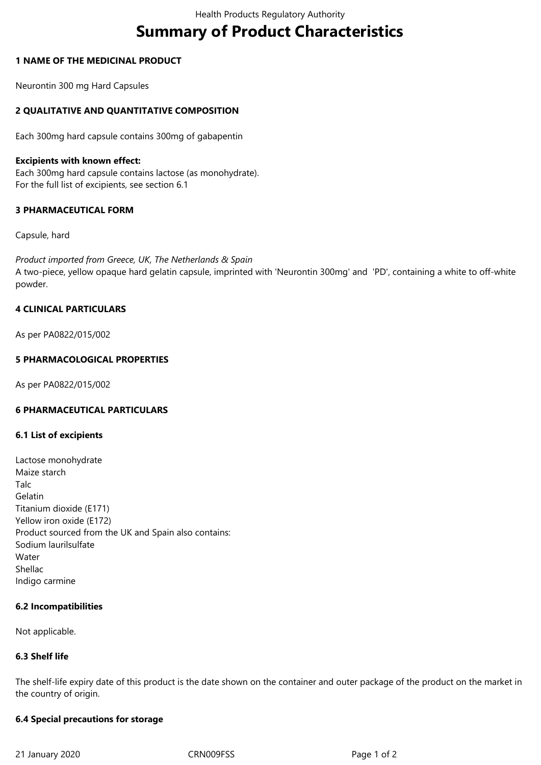# **Summary of Product Characteristics**

## **1 NAME OF THE MEDICINAL PRODUCT**

Neurontin 300 mg Hard Capsules

# **2 QUALITATIVE AND QUANTITATIVE COMPOSITION**

Each 300mg hard capsule contains 300mg of gabapentin

## **Excipients with known effect:**

Each 300mg hard capsule contains lactose (as monohydrate). For the full list of excipients, see section 6.1

# **3 PHARMACEUTICAL FORM**

## Capsule, hard

*Product imported from Greece, UK, The Netherlands & Spain* A two-piece, yellow opaque hard gelatin capsule, imprinted with 'Neurontin 300mg' and 'PD', containing a white to off-white powder.

# **4 CLINICAL PARTICULARS**

As per PA0822/015/002

## **5 PHARMACOLOGICAL PROPERTIES**

As per PA0822/015/002

# **6 PHARMACEUTICAL PARTICULARS**

#### **6.1 List of excipients**

Lactose monohydrate Maize starch Talc Gelatin Titanium dioxide (E171) Yellow iron oxide (E172) Product sourced from the UK and Spain also contains: Sodium laurilsulfate **Water** Shellac Indigo carmine

#### **6.2 Incompatibilities**

Not applicable.

## **6.3 Shelf life**

The shelf-life expiry date of this product is the date shown on the container and outer package of the product on the market in the country of origin.

#### **6.4 Special precautions for storage**

21 January 2020 CRN009FSS Page 1 of 2